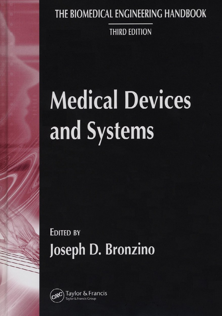THE BIOMEDICAL ENGINEERING HANDBOOK

**THIRD EDITION** 

# **Medical Devices** and Systems

**EDITED BY** Joseph D. Bronzino

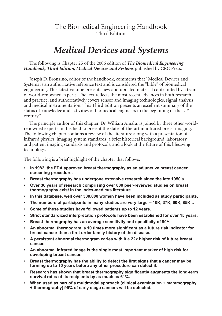# The Biomedical Engineering Handbook Third Edition

# *Medical Devices and Systems*

 The following is Chapter 25 of the 2006 edition of *The Biomedical Engineering Handbook, Third Edition, Medical Devices and Systems* published by CRC Press.

 Joseph D. Bronzino, editor of the handbook, comments that "Medical Devices and Systems is an authoritative reference text and is considered the "bible" of biomedical engineering. This latest volume presents new and updated material contributed by a team of world-renowned experts. The text reflects the most recent advances in both research and practice, and authoritatively covers sensor and imaging technologies, signal analysis, and medical instrumentation. This Third Edition presents an excellent summary of the status of knowledge and activities of biomedical engineers in the beginning of the  $21<sup>st</sup>$ century."

 The principle author of this chapter, Dr. William Amalu, is joined by three other worldrenowned experts in this field to present the state-of-the-art in infrared breast imaging. The following chapter contains a review of the literature along with a presentation of infrared physics, imaging system standards, a brief historical background, laboratory and patient imaging standards and protocols, and a look at the future of this lifesaving technology.

The following is a brief highlight of the chapter that follows:

- **In 1982, the FDA approved breast thermography as an adjunctive breast cancer screening procedure.**
- **Breast thermography has undergone extensive research since the late 1950's.**
- **Over 30 years of research comprising over 800 peer-reviewed studies on breast thermography exist in the index-medicus literature.**
- **In this database, well over 300,000 women have been included as study participants.**
- **The numbers of participants in many studies are very large -- 10K, 37K, 60K, 85K …**
- **Some of these studies have followed patients up to 12 years.**
- **Strict standardized interpretation protocols have been established for over 15 years.**
- **Breast thermography has an average sensitivity and specificity of 90%.**
- **An abnormal thermogram is 10 times more significant as a future risk indicator for breast cancer than a first order family history of the disease.**
- **A persistent abnormal thermogram caries with it a 22x higher risk of future breast cancer.**
- **An abnormal infrared image is the single most important marker of high risk for developing breast cancer.**
- **Breast thermography has the ability to detect the first signs that a cancer may be forming up to 10 years before any other procedure can detect it.**
- **Research has shown that breast thermography significantly augments the long-term survival rates of its recipients by as much as 61%.**
- **When used as part of a multimodal approach (clinical examination + mammography + thermography) 95% of early stage cancers will be detected.**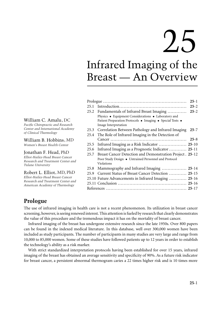# 25

# Infrared Imaging of the Breast — An Overview

William C. Amalu , DC *Pacific Chiropractic and Research Center and International Academy of Clinical Thermology*

William B. Hobbins , MD *Women's Breast Health Center*

Jonathan F. Head , PhD *Elliot-Hailey-Head Breast Cancer Research and Treatment Center and Tulane University*

Robert L. Elliot , MD, PhD*Elliot-Hailey-Head Breast Cancer Research and Treatment Center and American Academy of Thermology*

|      |                                                           | $25 - 1$ |
|------|-----------------------------------------------------------|----------|
| 25.1 |                                                           | $25 - 2$ |
| 25.2 | Fundamentals of Infrared Breast Imaging                   | $25 - 2$ |
|      | Physics • Equipment Considerations • Laboratory and       |          |
|      | Patient Preparation Protocols • Imaging • Special Tests • |          |
|      | Image Interpretation                                      |          |
| 25.3 | Correlation Between Pathology and Infrared Imaging        | $25 - 7$ |
| 25.4 | The Role of Infrared Imaging in the Detection of          |          |
|      |                                                           | $25 - 8$ |
| 25.5 | Infrared Imaging as a Risk Indicator  25-10               |          |
| 25.6 | Infrared Imaging as a Prognostic Indicator  25-11         |          |
| 25.7 | Breast Cancer Detection and Demonstration Project. 25-12  |          |
|      | Poor Study Design • Untrained Personnel and Protocol      |          |
|      | Violations                                                |          |
| 25.8 | Mammography and Infrared Imaging  25-14                   |          |
| 25.9 | Current Status of Breast Cancer Detection  25-15          |          |
|      | 25.10 Future Advancements in Infrared Imaging  25-16      |          |
|      |                                                           |          |
|      |                                                           |          |
|      |                                                           |          |

# **Prologue**

The use of infrared imaging in health care is not a recent phenomenon. Its utilization in breast cancer screening, however, is seeing renewed interest. This attention is fueled by research that clearly demonstrates the value of this procedure and the tremendous impact it has on the mortality of breast cancer.

Infrared imaging of the breast has undergone extensive research since the late 1950s. Over 800 papers can be found in the indexed medical literature. In this database, well over 300,000 women have been included as study participants. The number of participants in many studies are very large and range from 10,000 to 85,000 women. Some of these studies have followed patients up to 12 years in order to establish the technology's ability as a risk marker.

With strict standardized interpretation protocols having been established for over 15 years, infrared imaging of the breast has obtained an average sensitivity and specificity of 90%. As a future risk indicator for breast cancer, a persistent abnormal thermogram caries a 22 times higher risk and is 10 times more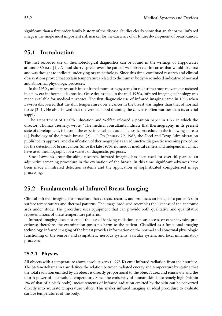significant than a first order family history of the disease. Studies clearly show that an abnormal infrared image is the single most important risk marker for the existence of or future development of breast cancer.

## **25.1 Introduction**

The first recorded use of thermobiological diagnostics can be found in the writings of Hippocrates around 480 b.c. [1]. A mud slurry spread over the patient was observed for areas that would dry first and was thought to indicate underlying organ pathology. Since this time, continued research and clinical observations proved that certain temperatures related to the human body were indeed indicative of normal and abnormal physiologic processes.

In the 1950s, military research into infrared monitoring systemsfor nighttime troop movements ushered in a new era in thermal diagnostics. Once declassified in the mid-1950s, infrared imaging technology was made available for medical purposes. The first diagnostic use of infrared imaging came in 1956 when Lawson discovered that the skin temperature over a cancer in the breast was higher than that of normal tissue [2–4]. He also showed that the venous blood draining the cancer is often warmer than its arterial supply.

The Department of Health Education and Welfare released a position paper in 1972 in which the director, Thomas Tiernery, wrote, "The medical consultants indicate that thermography, in its present state of development, is beyond the experimental state as a diagnostic procedure in the following 4 areas: (1) Pathology of the female breast. (2)… ." On January 29, 1982, the Food and Drug Administration published its approval and classification of thermography as an adjunctive diagnostic screening procedure for the detection of breast cancer. Since the late 1970s, numerous medical centers and independent clinics have used thermography for a variety of diagnostic purposes.

Since Lawson's groundbreaking research, infrared imaging has been used for over 40 years as an adjunctive screening procedure in the evaluation of the breast. In this time significant advances have been made in infrared detection systems and the application of sophisticated computerized image processing.

# **25.2 Fundamentals of Infrared Breast Imaging**

Clinical infrared imaging is a procedure that detects, records, and produces an image of a patient's skin surface temperatures and thermal patterns. The image produced resembles the likeness of the anatomic area under study. The procedure uses equipment that can provide both qualitative and quantitative representations of these temperature patterns.

Infrared imaging does not entail the use of ionizing radiation, venous access, or other invasive procedures; therefore, the examination poses no harm to the patient. Classified as a functional imaging technology, infrared imaging of the breast provides information on the normal and abnormal physiologic functioning of the sensory and sympathetic nervous systems, vascular system, and local inflammatory processes.

#### **25.2.1 Physics**

All objects with a temperature above absolute zero  $(-273 \text{ K})$  emit infrared radiation from their surface. The Stefan-Boltzmann Law defines the relation between radiated energy and temperature by stating that the total radiation emitted by an object is directly proportional to the object's area and emissivity and the fourth power of its absolute temperature. Since the emissivity of human skin is extremely high (within 1% of that of a black body), measurements of infrared radiation emitted by the skin can be converted directly into accurate temperature values. This makes infrared imaging an ideal procedure to evaluate surface temperatures of the body.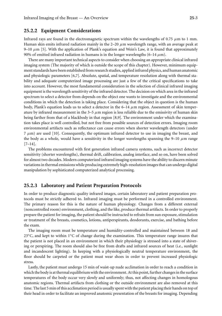#### **25.2.2 Equipment Considerations**

Infrared rays are found in the electromagnetic spectrum within the wavelengths of 0.75 *µ*m to 1 mm. Human skin emits infrared radiation mainly in the  $2-20 \mu m$  wavelength range, with an average peak at  $9-10 \mu m$  [5]. With the application of Plank's equation and Wein's Law, it is found that approximately 90% of emitted infrared radiation in humans is in the longer wavelengths  $(6-14 \mu m)$ .

There are many important technical aspects to consider when choosing an appropriate clinical infrared imaging system (The majority of which is outside the scope of this chapter). However, minimum equipment standards have been established from research studies, applied infrared physics, and human anatomic and physiologic parameters [6,7]. Absolute, spatial, and temperature resolution along with thermal stability and adequate computerized image processing are just a few of the critical specifications to take into account. However, the most fundamental consideration in the selection of clinical infrared imaging equipment is the wavelength sensitivity of the infrared detector. The decision on which area in the infrared spectrum to select a detector from depends on the object one wants to investigate and the environmental conditions in which the detection is taking place. Considering that the object in question is the human body, Plank's equation leads us to select a detector in the 6–14 *µ*m region. Assessment of skin temperature by infrared measurement in the  $3-5 \mu$ m region is less reliable due to the emissivity of human skin being farther from that of a blackbody in that region [8,9]. The environment under which the examination takes place is well controlled, but not free from possible sources of detection errors. Imaging room environmental artifacts such as reflectance can cause errors when shorter wavelength detectors (under  $7 \mu m$ ) are used [10]. Consequently, the optimum infrared detector to use in imaging the breast, and the body as a whole, would have a sensitivity in the longer wavelengths spanning the  $9-10 \mu m$  range  $[7-14]$ .

The problems encountered with first generation infrared camera systems, such as incorrect detector sensitivity (shorter wavelengths), thermal drift, calibration, analog interface, and so on, have been solved for almost two decades. Modern computerized infrared imaging systems have the ability to discern minute variations in thermal emissions while producing extremely high-resolution images that can undergo digital manipulation by sophisticated computerized analytical processing.

#### **25.2.3 Laboratory and Patient Preparation Protocols**

In order to produce diagnostic quality infrared images, certain laboratory and patient preparation protocols must be strictly adhered to. Infrared imaging must be performed in a controlled environment. The primary reason for this is the nature of human physiology. Changes from a different external (noncontrolled room) environment, clothing, and the like, produce thermal artifacts. In order to properly prepare the patient for imaging, the patient should be instructed to refrain from sun exposure, stimulation or treatment of the breasts, cosmetics, lotions, antiperspirants, deodorants, exercise, and bathing before the exam.

The imaging room must be temperature and humidity-controlled and maintained between 18 and 23<sup>°</sup>C, and kept to within 1<sup>°</sup>C of change during the examination. This temperature range insures that the patient is not placed in an environment in which their physiology is stressed into a state of shivering or perspiring. The room should also be free from drafts and infrared sources of heat (i.e., sunlight and incandescent lighting). In keeping with a physiologically neutral temperature environment, the floor should be carpeted or the patient must wear shoes in order to prevent increased physiologic stress.

Lastly, the patient must undergo 15 min of waist-up nude acclimation in order to reach a condition in which the body is at thermal equilibrium with the environment. At this point, further changes in the surface temperatures of the body occur very slowly and uniformly; thus, not affecting changes in homologous anatomic regions. Thermal artifacts from clothing or the outside environment are also removed at this time. The last 5 min of this acclimation period is usually spent with the patient placing their hands on top of their head in order to facilitate an improved anatomic presentation of the breasts for imaging. Depending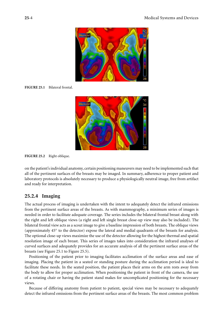

**FIGURE 25.1** Bilateral frontal.





on the patient's individual anatomy, certain positioning maneuvers may need to be implemented such that all of the pertinent surfaces of the breasts may be imaged. In summary, adherence to proper patient and laboratory protocols is absolutely necessary to produce a physiologically neutral image, free from artifact and ready for interpretation.

#### **25.2.4 Imaging**

The actual process of imaging is undertaken with the intent to adequately detect the infrared emissions from the pertinent surface areas of the breasts. As with mammography, a minimum series of images is needed in order to facilitate adequate coverage. The series includes the bilateral frontal breast along with the right and left oblique views (a right and left single breast close-up view may also be included). The bilateral frontal view acts as a scout image to give a baseline impression of both breasts. The oblique views (approximately 45◦ to the detector) expose the lateral and medial quadrants of the breasts for analysis. The optional close-up views maximize the use of the detector allowing for the highest thermal and spatial resolution image of each breast. This series of images takes into consideration the infrared analyses of curved surfaces and adequately provides for an accurate analysis of all the pertinent surface areas of the breasts (see Figure 25.1 to Figure 25.5).

Positioning of the patient prior to imaging facilitates acclimation of the surface areas and ease of imaging. Placing the patient in a seated or standing posture during the acclimation period is ideal to facilitate these needs. In the seated position, the patient places their arms on the arm rests away from the body to allow for proper acclimation. When positioning the patient in front of the camera, the use of a rotating chair or having the patient stand makes for uncomplicated positioning for the necessary views.

Because of differing anatomy from patient to patient, special views may be necessary to adequately detect the infrared emissions from the pertinent surface areas of the breasts. The most common problem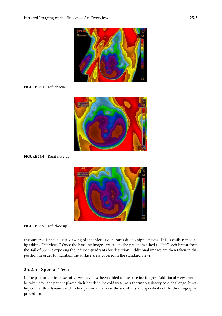

**FIGURE 25.3** Left oblique.



**FIGURE 25.4** Right close-up.



**FIGURE 25.5** Left close-up.

encountered is inadequate viewing of the inferior quadrants due to nipple ptosis. This is easily remedied by adding "lift views." Once the baseline images are taken, the patient is asked to "lift" each breast from the Tail of Spence exposing the inferior quadrants for detection. Additional images are then taken in this position in order to maintain the surface areas covered in the standard views.

# **25.2.5 Special Tests**

In the past, an optional set of views may have been added to the baseline images. Additional views would be taken after the patient placed their hands in ice cold water as a thermoregulatory cold challenge. It was hoped that this dynamic methodology would increase the sensitivity and specificity of the thermographic procedure.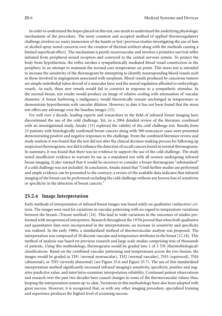In order to understand the hopes placed on this test, one needs to understand the underlying physiologic mechanisms of the procedure. The most common and accepted method of applied thermoregulatory challenge involves ice water immersion of the hands or feet (previous studies investigating the use of fans or alcohol spray noted concerns over the creation of thermal artifacts along with the methods causing a limited superficial effect). The mechanism is purely neurovascular and involves a primitive survival reflex initiated from peripheral neural receptors and conveyed to the central nervous system. To protect the body from hypothermia, the reflex invokes a sympathetically mediated blood vessel constriction in the periphery in an attempt to maintain the normal core temperature set point. This stress test is intended to increase the sensitivity of the thermogram by attempting to identify nonresponding blood vessels such as those involved in angiogenesis associated with neoplasm. Blood vessels produced by cancerous tumors are simple endothelial tubes devoid of a muscular layer and the neural regulation afforded to embryologic vessels. As such, these new vessels would fail to constrict in response to a sympathetic stimulus. In the normal breast, test results would produce an image of relative cooling with attenuation of vascular diameter. A breast harboring a malignancy would theoretically remain unchanged in temperature or demonstrate hyperthermia with vascular dilation. However, to date it has not been found that the stress test offers any advantage over the baseline images [15].

For well over a decade, leading experts and researchers in the field of infrared breast imaging have discontinued the use of the cold challenge. Yet, in a 2004 detailed review of the literature combined with an investigational study, Amalu [15] explored the validity of the cold challenge test. Results from 23 patients with histologically confirmed breast cancers along with 500 noncancer cases were presented demonstrating positive and negative responses to the challenge. From the combined literature review and study analysis it was found that the test did not alter the clinical decision-making process for following up suspicious thermograms, nor did it enhance the detection of occult cancers found in normal thermograms. In summary, it was found that there was no evidence to support the use of the cold challenge. The study noted insufficient evidence to warrant its use as a mandated test with all women undergoing infrared breast imaging. It also warned that it would be incorrect to consider a breast thermogram "substandard" if a cold challenge was not included. In conclusion, Amalu stated that "Until further studies are performed and ample evidence can be presented to the contrary, a review of the available data indicates that infrared imaging of the breast can be performed excluding the cold challenge without any known loss of sensitivity or specificity in the detection of breast cancers."

#### **25.2.6 Image Interpretation**

Early methods of interpretation of infrared breast images was based solely on qualitative (subjective) criteria. The images were read for variations in vascular patterning with no regard to temperature variations between the breasts (Tricore method) [16]. This lead to wide variations in the outcomes of studies preformed with inexperienced interpreters. Research throughout the 1970s proved that when both qualitative and quantitative data were incorporated in the interpretations, an increase in sensitivity and specificity was realized. In the early 1980s, a standardized method of thermovascular analysis was proposed. The interpretation was composed of 20 discrete vascular and temperature attributes in the breast [17,18]. This method of analysis was based on previous research and large scale studies comprising tens of thousands of patients. Using this methodology, thermograms would be graded into 1 of 5 TH (thermobiological) classifications. Based on the combined vascular patterning and temperatures across the two breasts, the images would be graded as TH1 (normal nonvascular), TH2 (normal vascular), TH3 (equivocal), TH4 (abnormal), or TH5 (severely abnormal) (see Figure 25.6 and Figure 25.7). The use of this standardized interpretation method significantly increased infrared imaging's sensitivity, specificity, positive and negative predictive value, and inter/intra-examiner interpretation reliability. Continued patient observations and research over the past two decades have caused changes in some of the thermovascular values; thus, keeping the interpretation system up-to-date. Variations in this methodology have also been adopted with great success. However, it is recognized that, as with any other imaging procedure, specialized training and experience produces the highest level of screening success.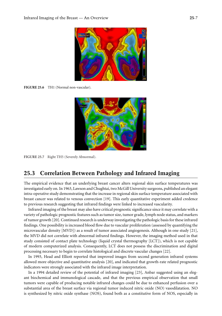

**FIGURE 25.6** TH1 (Normal non-vascular).



FIGURE 25.7 Right TH5 (Severely Abnormal).

# **25.3 Correlation Between Pathology and Infrared Imaging**

The empirical evidence that an underlying breast cancer alters regional skin surface temperatures was investigated early on. In 1963, Lawson and Chughtai, two McGill University surgeons, published an elegant intra-operative study demonstrating that the increase in regional skin surface temperature associated with breast cancer was related to venous convection [19]. This early quantitative experiment added credence to previous research suggesting that infrared findings were linked to increased vascularity.

Infrared imaging of the breast may also have critical prognostic significance since it may correlate with a variety of pathologic prognostic features such as tumor size, tumor grade, lymph node status, and markers of tumor growth [20]. Continued research is underway investigating the pathologic basis for these infrared findings. One possibility is increased blood flow due to vascular proliferation (assessed by quantifying the microvascular density [MVD]) as a result of tumor associated angiogenesis. Although in one study [21], the MVD did not correlate with abnormal infrared findings. However, the imaging method used in that study consisted of contact plate technology (liquid crystal thermography [LCT]), which is not capable of modern computerized analysis. Consequently, LCT does not possess the discrimination and digital processing necessary to begin to correlate histological and discrete vascular changes [22].

In 1993, Head and Elliott reported that improved images from second generation infrared systems allowed more objective and quantitative analysis [20], and indicated that growth-rate related prognostic indicators were strongly associated with the infrared image interpretation.

In a 1994 detailed review of the potential of infrared imaging [23], Anbar suggested using an elegant biochemical and immunological cascade, and that the previous empirical observation that small tumors were capable of producing notable infrared changes could be due to enhanced perfusion over a substantial area of the breast surface via regional tumor induced nitric oxide (NO) vasodilatation. NO is synthesized by nitric oxide synthase (NOS), found both as a constitutive form of NOS, especially in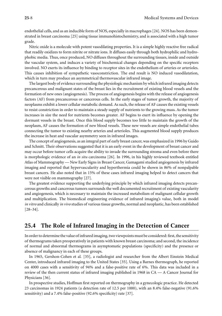endothelial cells, and as an inducible form of NOS, especially in macrophages [24]. NOS has been demonstrated in breast carcinoma [25] using tissue immunohistochemistry, and is associated with a high tumor grade.

Nitric oxide is a molecule with potent vasodilating properties. It is a simple highly reactive free radical that readily oxidizes to form nitrite or nitrate ions. It diffuses easily through both hydrophilic and hydrophobic media. Thus, once produced, NO diffuses throughout the surrounding tissues, inside and outside the vascular system, and induces a variety of biochemical changes depending on the specific receptors involved. NO exerts its influence by binding to receptor sites in the endothelium of arteries or arterioles. This causes inhibition of sympathetic vasoconstriction. The end result is NO induced vasodilatation, which in turn may produce an asymmetrical thermovascular infrared image.

The largest body of evidence surrounding the physiologic mechanism by which infrared imaging detects precancerous and malignant states of the breast lies in the recruitment of existing blood vessels and the formation of new ones (angiogenesis). The process of angiogenesis begins with the release of angiogenesis factors (AF) from precancerous or cancerous cells. In the early stages of tumor growth, the majority of neoplasms exhibit a lower cellular metabolic demand. As such, the release of AF causes the existing vessels to resist constriction in order to maintain a steady supply of nutrients to the growing mass. As the tumor increases in size the need for nutrients becomes greater. AF begins to exert its influence by opening the dormant vessels in the breast. Once this blood supply becomes too little to maintain the growth of the neoplasm, AF causes the formation of new blood vessels. These new vessels are simple endothelial tubes connecting the tumor to existing nearby arteries and arterioles. This augmented blood supply produces the increase in heat and vascular asymmetry seen in infrared images.

The concept of angiogenesis, as an integral part of early breast cancer, was emphasized in 1996 by Guido and Schnitt. Their observations suggested that it is an early event in the development of breast cancer and may occur before tumor cells acquire the ability to invade the surrounding stroma and even before there is morphologic evidence of an *in situ* carcinoma [26]. In 1996, in his highly reviewed textbook entitled Atlas of Mammography — New Early Signs in Breast Cancer, Gamagami studied angiogenesis by infrared imaging and reported that hypervascularity and hyperthermia could be shown in 86% of nonpalpable breast cancers. He also noted that in 15% of these cases infrared imaging helped to detect cancers that were not visible on mammography [27].

The greatest evidence supporting the underlying principle by which infrared imaging detects precancerous growths and cancerous tumors surrounds the well documented recruitment of existing vascularity and angiogenesis, which is necessary to maintain the increased metabolism of malignant cellular growth and multiplication. The biomedical engineering evidence of infrared imaging's value, both in model *in vitro* and clinically *in vivo* studies of various tissue growths, normal and neoplastic, has been established [28–34].

# **25.4 The Role of Infrared Imaging in the Detection of Cancer**

In order to determine the value of infrared imaging, two viewpoints must be considered: first, the sensitivity of thermograms taken preoperatively in patients with known breast carcinoma; and second, the incidence of normal and abnormal thermograms in asymptomatic populations (specificity) and the presence or absence of malignancy in each of these groups.

In 1965, Gershon-Cohen et al. [35], a radiologist and researcher from the Albert Einstein Medical Center, introduced infrared imaging to the United States [35]. Using a Barnes thermograph, he reported on 4000 cases with a sensitivity of 94% and a false-positive rate of 6%. This data was included in a review of the then current status of infrared imaging published in 1968 in CA — A Cancer Journal for Physicians [36].

In prospective studies, Hoffman first reported on thermography in a gynecologic practice. He detected 23 carcinomas in 1924 patients (a detection rate of 12.5 per 1000), with an 8.4% false-negative (91.6% sensitivity) and a 7.4% false-positive (92.6% specificity) rate [37].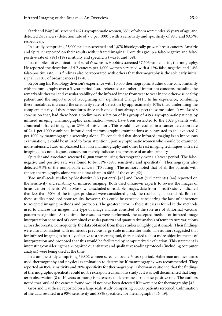Stark and Way [38] screened 4621 asymptomatic women, 35% of whom were under 35 years of age, and detected 24 cancers (detection rate of 7.6 per 1000), with a sensitivity and specificity of 98.3 and 93.5%, respectively.

In a study comprising 25,000 patients screened and 1,878 histologically proven breast cancers, Amalric and Spitalier reported on their results with infrared imaging. From this group a false-negative and falsepositive rate of 9% (91% sensitivity and specificity) was found [39].

In a mobile unit examination of ruralWisconsin, Hobbins screened 37,506 women using thermography. He reported the detection of 5.7 cancers per 1,000 women screened with a 12% false-negative and 14% false-positive rate. His findings also corroborated with others that thermography is the sole early initial signal in 10% of breast cancers [17,40].

Reporting his Radiology division's experience with 10,000 thermographic studies done concomitantly with mammography over a 3-year period, Isard reiterated a number of important concepts including the remarkable thermal and vascular stability of the infrared image from year to year in the otherwise healthy patient and the importance of recognizing any significant change [41]. In his experience, combining these modalities increased the sensitivity rate of detection by approximately 10%; thus, underlining the complementarity of these procedures since each one did not always suspect the same lesion. It was Isard's conclusion that, had there been a preliminary selection of his group of 4393 asymptomatic patients by infrared imaging, mammographic examination would have been restricted to the 1028 patients with abnormal infrared imaging, or 23% of this cohort. This would have resulted in a cancer detection rate of 24.1 per 1000 combined infrared and mammographic examinations as contrasted to the expected 7 per 1000 by mammographic screening alone. He concluded that since infrared imaging is an innocuous examination, it could be utilized to focus attention upon asymptomatic women who should be examined more intensely. Isard emphasized that, like mammography and other breast imaging techniques, infrared imaging does not diagnose cancer, but merely indicates the presence of an abnormality.

Spitalier and associates screened 61,000 women using thermography over a 10-year period. The falsenegative and positive rate was found to be 11% (89% sensitivity and specificity). Thermography also detected 91% of the nonpalpable cancers (T0 rating). The authors noted that of all the patients with cancer, thermography alone was the first alarm in 60% of the cases [42].

Two small-scale studies by Moskowitz (150 patients) [43] and Treatt (515 patients) [44] reported on the sensitivity and reliability of infrared imaging. Both used unknown experts to review the images of breast cancer patients. While Moskowitz excluded unreadable images, data from Threatt's study indicated that less than 30% of the images produced were considered good, the rest being substandard. Both of these studies produced poor results; however, this could be expected considering the lack of adherence to accepted imaging methods and protocols. The greatest error in these studies is found in the methods used to analyze the images. The type of image analysis consisted of the sole use of abnormal vascular pattern recognition. At the time these studies were performed, the accepted method of infrared image interpretation consisted of a combined vascular pattern and quantitative analysis of temperature variations across the breasts. Consequently, the data obtained from these studies is highly questionable. Their findings were also inconsistent with numerous previous large-scale multicenter trials. The authors suggested that for infrared imaging to be truly effective as a screening tool, there needed to be a more objective means of interpretation and proposed that this would be facilitated by computerized evaluation. This statement is interesting considering that recognized quantitative and qualitative reading protocols (including computer analysis) were being used at the time.

In a unique study comprising 39,802 women screened over a 3-year period, Haberman and associates used thermography and physical examination to determine if mammography was recommended. They reported an 85% sensitivity and 70% specificity for thermography. Haberman cautioned that the findings of thermographic specificity could not be extrapolated from this study as it was well documented that longterm observation (8 to 10 years or more) is necessary to determine a true false-positive rate. The authors noted that 30% of the cancers found would not have been detected if it were not for thermography [45].

Gros and Gautherie reported on a large scale study comprising 85,000 patients screened. Culmination of the data resulted in a 90% sensitivity and 88% specificity for thermography [46–49].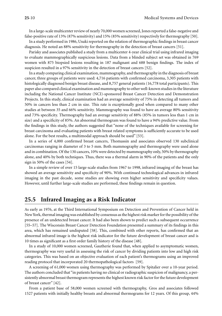In a large-scale multicenter review of nearly 70,000 women screened, Jones reported a false-negative and false-positive rate of 13% (87% sensitivity) and 15% (85% sensitivity) respectively for thermography [50].

In a study performed in 1986, Usuki reported on the relation of thermographic findings in breast cancer diagnosis. He noted an 88% sensitivity for thermography in the detection of breast cancers [51].

Parisky and associates published a study from a multicenter 4-year clinical trial using infrared imaging to evaluate mammographically suspicious lesions. Data from a blinded subject set was obtained in 769 women with 875 biopsied lesions resulting in 187 malignant and 688 benign findings. The index of suspicion resulted in a 97% sensitivity in the detection of breast cancers [52].

In a study comparing clinical examination, mammography, and thermography in the diagnosis of breast cancer, three groups of patients were used: 4,716 patients with confirmed carcinoma, 3,305 patients with histologically diagnosed benign breast disease, and 8,757 general patients (16,778 total participants). This paper also compared clinical examination and mammography to other well-known studies in the literature including the National Cancer Institute (NCI)-sponsored Breast Cancer Detection and Demonstration Projects. In this study, clinical examination had an average sensitivity of 75% in detecting all tumors and 50% in cancers less than 2 cm in size. This rate is exceptionally good when compared to many other studies at between 35 and 66% sensitivity. Mammography was found to have an average 80% sensitivity and 73% specificity. Thermography had an average sensitivity of 88% (85% in tumors less than 1 cm in size) and a specificity of 85%. An abnormal thermogram was found to have a 94% predictive value. From the findings in this study, the authors suggested that "none of the techniques available for screening for breast carcinoma and evaluating patients with breast related symptoms is sufficiently accurate to be used alone. For the best results, a multimodal approach should be used" [53].

In a series of 4,000 confirmed breast cancers, Thomassin and associates observed 130 subclinical carcinomas ranging in diameter of 3 to 5 mm. Both mammography and thermography were used alone and in combination. Of the 130 cancers, 10% were detected by mammography only, 50% by thermography alone, and 40% by both techniques. Thus, there was a thermal alarm in 90% of the patients and the only sign in 50% of the cases [54].

In a simple review of over 15 large-scale studies from 1967 to 1998, infrared imaging of the breast has showed an average sensitivity and specificity of 90%. With continued technological advances in infrared imaging in the past decade, some studies are showing even higher sensitivity and specificity values. However, until further large-scale studies are performed, these findings remain in question.

# **25.5 Infrared Imaging as a Risk Indicator**

As early as 1976, at the Third International Symposium on Detection and Prevention of Cancer held in New York, thermal imaging was established by consensus as the highest risk marker for the possibility of the presence of an undetected breast cancer. It had also been shown to predict such a subsequent occurrence [55–57]. The Wisconsin Breast Cancer Detection Foundation presented a summary of its findings in this area, which has remained undisputed [58]. This, combined with other reports, has confirmed that an abnormal infrared image is the highest risk indicator for the future development of breast cancer and is 10 times as significant as a first order family history of the disease [48].

In a study of 10,000 women screened, Gautherie found that, when applied to asymptomatic women, thermography was very useful in assessing the risk of cancer by dividing patients into low and high risk categories. This was based on an objective evaluation of each patient's thermograms using an improved reading protocol that incorporated 20 thermopathological factors [59].

A screening of 61,000 women using thermography was performed by Spitalier over a 10-year period. The authors concluded that "in patients having no clinical or radiographic suspicion of malignancy, a persistently abnormal breast thermogram represents the highest known risk factor for the future development of breast cancer" [42].

From a patient base of 58,000 women screened with thermography, Gros and associates followed 1527 patients with initially healthy breasts and abnormal thermograms for 12 years. Of this group, 44%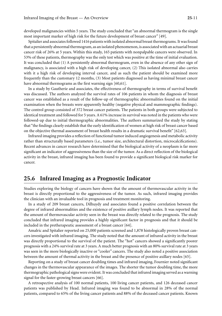developed malignancies within 5 years. The study concluded that "an abnormal thermogram is the single most important marker of high risk for the future development of breast cancer" [49].

Spitalier and associates followed 1416 patients with isolated abnormal breast thermograms. It was found that a persistently abnormal thermogram, as an isolated phenomenon, is associated with an actuarial breast cancer risk of 26% at 5 years. Within this study, 165 patients with nonpalpable cancers were observed. In 53% of these patients, thermography was the only test which was positive at the time of initial evaluation. It was concluded that (1) A persistently abnormal thermogram, even in the absence of any other sign of malignancy, is associated with a high risk of developing cancer, (2) This isolated abnormal also carries with it a high risk of developing interval cancer, and as such the patient should be examined more frequently than the customary 12 months, (3) Most patients diagnosed as having minimal breast cancer have abnormal thermograms as the first warning sign [60,61].

In a study by Gautherie and associates, the effectiveness of thermography in terms of survival benefit was discussed. The authors analyzed the survival rates of 106 patients in whom the diagnosis of breast cancer was established as a result of the follow-up of thermographic abnormalities found on the initial examination when the breasts were apparently healthy (negative physical and mammographic findings). The control group consisted of 372 breast cancer patients. The patients in both groups were subjected to identical treatment and followed for 5 years. A 61% increase in survival was noted in the patients who were followed-up due to initial thermographic abnormalities. The authors summarized the study by stating that "the findings clearly establish that the early identification of women at high risk of breast cancer based on the objective thermal assessment of breast health results in a dramatic survival benefit" [62,63].

Infrared imaging provides a reflection of functional tumor induced angiogenesis and metabolic activity rather than structurally based parameters (i.e., tumor size, architectural distortion, microcalcifications). Recent advances in cancer research have determined that the biological activity of a neoplasm is far more significant an indicator of aggressiveness than the size of the tumor. As a direct reflection of the biological activity in the breast, infrared imaging has been found to provide a significant biological risk marker for cancer.

# **25.6 Infrared Imaging as a Prognostic Indicator**

Studies exploring the biology of cancers have shown that the amount of thermovascular activity in the breast is directly proportional to the aggressiveness of the tumor. As such, infrared imaging provides the clinician with an invaluable tool in prognosis and treatment monitoring.

In a study of 209 breast cancers, Dilhuydy and associates found a positive correlation between the degree of infrared abnormalities and the existence of positive axillary lymph nodes. It was reported that the amount of thermovascular activity seen in the breast was directly related to the prognosis. The study concluded that infrared imaging provides a highly significant factor in prognosis and that it should be included in the pretherapeutic assessment of a breast cancer [64].

Amalric and Spitalier reported on 25,000 patients screened and 1,878 histologically proven breast cancers investigated with infrared imaging. The study noted that the amount of infrared activity in the breast was directly proportional to the survival of the patient. The "hot" cancers showed a significantly poorer prognosis with a 24% survival rate at 3 years. A much better prognosis with an 80% survival rate at 3 years was seen in the more biologically inactive or "cooler" cancers. The study also noted a positive association between the amount of thermal activity in the breast and the presence of positive axillary nodes [65].

Reporting on a study of breast cancer doubling times and infrared imaging, Fournier noted significant changes in the thermovascular appearance of the images. The shorter the tumor doubling time, the more thermographic pathological signs were evident. It was concluded that infrared imaging served as a warning signal for the faster-growing breast cancers [66].

A retrospective analysis of 100 normal patients, 100 living cancer patients, and 126 deceased cancer patients was published by Head. Infrared imaging was found to be abnormal in 28% of the normal patients, compared to 65% of the living cancer patients and 88% of the deceased cancer patients. Known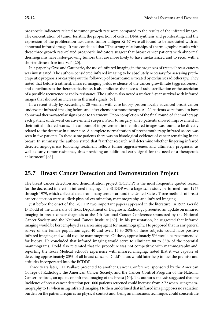prognostic indicators related to tumor growth rate were compared to the results of the infrared images. The concentration of tumor ferritin, the proportion of cells in DNA synthesis and proliferating, and the expression of the proliferation-associated tumor antigen Ki-67 were all found to be associated with an abnormal infrared image. It was concluded that "The strong relationships of thermographic results with these three growth rate-related prognostic indicators suggest that breast cancer patients with abnormal thermograms have faster-growing tumors that are more likely to have metastasized and to recur with a shorter disease-free interval" [20].

In a paper by Gros and Gautherie, the use of infrared imaging in the prognosis of treated breast cancers was investigated. The authors considered infrared imaging to be absolutely necessary for assessing pretherapeutic prognosis or carrying out the follow-up of breast cancers treated by exclusive radiotherapy. They noted that before treatment, infrared imaging yields evidence of the cancer growth rate (aggressiveness) and contributes to the therapeutic choice. It also indicates the success of radiosterilization or the suspicion of a possible recurrence or radio-resistance. The authors also noted a weaker 5-year survival with infrared images that showed an increase in thermal signals [67].

In a recent study by Keyserlingk, 20 women with core biopsy-proven locally advanced breast cancer underwent infrared imaging before and after chemohormonotherapy. All 20 patients were found to have abnormal thermovascular signs prior to treatment. Upon completion of the final round of chemotherapy, each patient underwent curative-intent surgery. Prior to surgery, all 20 patients showed improvement in their initial infrared scores. The amount of improvement in the infrared images was found to be directly related to the decrease in tumor size. A complete normalization of prechemotherapy infrared scores was seen in five patients. In these same patients there was no histological evidence of cancer remaining in the breast. In summary, the authors stated that "Further research will determine whether lingering infrared detected angiogenesis following treatment reflects tumor aggressiveness and ultimately prognosis, as well as early tumor resistance, thus providing an additional early signal for the need of a therapeutic adjustment" [68].

# **25.7 Breast Cancer Detection and Demonstration Project**

The breast cancer detection and demonstration project (BCDDP) is the most frequently quoted reason for the decreased interest in infrared imaging. The BCDDP was a large-scale study performed from 1973 through 1979, which collected data from many centers around the United States. Three methods of breast cancer detection were studied: physical examination, mammography, and infrared imaging.

Just before the onset of the BCDDP, two important papers appeared in the literature. In 1972, Gerald D. Dodd of the University of Texas Department of Diagnostic Radiology presented an update on infrared imaging in breast cancer diagnosis at the 7th National Cancer Conference sponsored by the National Cancer Society and the National Cancer Institute [69]. In his presentation, he suggested that infrared imaging would be best employed as a screening agent for mammography. He proposed that in any general survey of the female population aged 40 and over, 15 to 20% of these subjects would have positive infrared imaging and would require mammograms. Of these, approximately 5% would be recommended for biopsy. He concluded that infrared imaging would serve to eliminate 80 to 85% of the potential mammograms. Dodd also reiterated that the procedure was not competitive with mammography and, reporting the Texas Medical School's experience with infrared imaging, noted that it was capable of detecting approximately 85% of all breast cancers. Dodd's ideas would later help to fuel the premise and attitudes incorporated into the BCDDP.

Three years later, J.D. Wallace presented to another Cancer Conference, sponsored by the American College of Radiology, the American Cancer Society, and the Cancer Control Program of the National Cancer Institute, an update on infrared imaging of the breast [70]. The author's analysis suggested that the incidence of breast cancer detection per 1000 patients screened could increase from 2.72 when using mammography to 19 when using infrared imaging. He then underlined that infrared imaging poses no radiation burden on the patient, requires no physical contact and, being an innocuous technique, could concentrate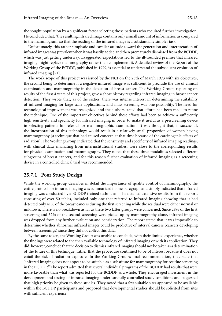the sought population by a significant factor selecting those patients who required further investigation. He concluded that,"the resulting infrared image contains only a small amount of information as compared to the mammogram, so that the reading of the infrared image is a substantially simpler task."

Unfortunately, this rather simplistic and cavalier attitude toward the generation and interpretation of infrared images was prevalent when it was hastily added and then prematurely dismissed from the BCDDP, which was just getting underway. Exaggerated expectations led to the ill-founded premise that infrared imaging might replace mammography rather than complement it. A detailed review of the Report of the Working Group of the BCDDP, published in 1979, is essential to understand the subsequent evolution of infrared imaging [71].

The work scope of this project was issued by the NCI on the 26th of March 1973 with six objectives, the second being to determine if a negative infrared image was sufficient to preclude the use of clinical examination and mammography in the detection of breast cancer. The Working Group, reporting on results of the first 4 years of this project, gave a short history regarding infrared imaging in breast cancer detection. They wrote that, as of the sixties, there was intense interest in determining the suitability of infrared imaging for large-scale applications, and mass screening was one possibility. The need for technological improvement was recognized and the authors stated that efforts had been made to refine the technique. One of the important objectives behind these efforts had been to achieve a sufficiently high sensitivity and specificity for infrared imaging in order to make it useful as a prescreening device in selecting patients for referral for mammographic examination. It was thought that, if successful, the incorporation of this technology would result in a relatively small proportion of women having mammography (a technique that had caused concern at that time because of the carcinogenic effects of radiation). The Working Group indicated that the sensitivity and specificity of infrared imaging readings, with clinical data emanating from interinstitutional studies, were close to the corresponding results for physical examination and mammography. They noted that these three modalities selected different subgroups of breast cancers, and for this reason further evaluation of infrared imaging as a screening device in a controlled clinical trial was recommended.

#### **25.7.1 Poor Study Design**

While the working group describes in detail the importance of quality control of mammography, the entire protocol for infrared imaging was summarized in one paragraph and simply indicated that infrared imaging was conducted by a BCDDP trained technician. The detailed extensive results from this report, consisting of over 50 tables, included only one that referred to infrared imaging showing that it had detected only 41% of the breast cancers during the first screening while the residual were either normal or unknown. There is no breakdown as far as these two latter groups were concerned. Since 28% of the first screening and 32% of the second screening were picked up by mammography alone, infrared imaging was dropped from any further evaluation and consideration. The report stated that it was impossible to determine whether abnormal infrared images could be predictive of interval cancers (cancers developing between screenings) since they did not collect this data.

By the same token, the Working Group was unable to conclude, with their limited experience, whether the findings were related to the then available technology of infrared imaging or with its application. They did, however, conclude that the decision to dismiss infrared imaging should not be taken as a determination of the future of this technique, rather that the procedure continued to be of interest because it does not entail the risk of radiation exposure. In the Working Group's final recommendation, they state that "infrared imaging does not appear to be suitable as a substitute for mammography for routine screening in the BCDDP." The report admitted that several individual programs of the BCDDP had results that were more favorable than what was reported for the BCDDP as a whole. They encouraged investment in the development and testing of infrared imaging under carefully controlled study conditions and suggested that high priority be given to these studies. They noted that a few suitable sites appeared to be available within the BCDDP participants and proposed that developmental studies should be solicited from sites with sufficient experience.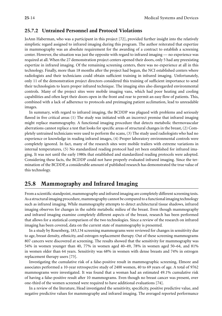#### **25.7.2 Untrained Personnel and Protocol Violations**

JoAnn Haberman, who was a participant in this project [72], provided further insight into the relatively simplistic regard assigned to infrared imaging during this program. The author reiterated that expertize in mammography was an absolute requirement for the awarding of a contract to establish a screening center. However, the situation was just the opposite with regard to infrared imaging — no experience was required at all. When the 27 demonstration project centers opened their doors, only 5 had any preexisting expertize in infrared imaging. Of the remaining screening centers, there was no experience at all in this technology. Finally, more than 18 months after the project had begun, the NCI established centers where radiologists and their technicians could obtain sufficient training in infrared imaging. Unfortunately, only 11 of the demonstration project directors considered this training of sufficient importance to send their technologists to learn proper infrared technique. The imaging sites also disregarded environmental controls. Many of the project sites were mobile imaging vans, which had poor heating and cooling capabilities and often kept their doors open in the front and rear to permit an easy flow of patients. This, combined with a lack of adherence to protocols and preimaging patient acclimation, lead to unreadable images.

In summary, with regard to infrared imaging, the BCDDP was plagued with problems and seriously flawed in five critical areas (1) The study was initiated with an incorrect premise that infrared imaging might replace mammography. A functional imaging procedure that detects metabolic thermovascular aberrations cannot replace a test that looks for specific areas of structural changes in the breast, (2) Completely untrained technicians were used to perform the scans, (3) The study used radiologists who had no experience or knowledge in reading infrared images, (4) Proper laboratory environmental controls were completely ignored. In fact, many of the research sites were mobile trailers with extreme variations in internal temperatures, (5) No standardized reading protocol had yet been established for infrared imaging. It was not until the early 1980s that established and standardized reading protocols were adopted. Considering these facts, the BCDDP could not have properly evaluated infrared imaging. Since the termination of the BCDDP, a considerable amount of published research has demonstrated the true value of this technology.

# **25.8 Mammography and Infrared Imaging**

From a scientific standpoint, mammography and infrared imaging are completely different screening tests. As a structural imaging procedure, mammography cannot be compared to afunctional imaging technology such as infrared imaging. While mammography attempts to detect architectural tissue shadows, infrared imaging observes for changes in the subtle metabolic milieu of the breast. Even though mammography and infrared imaging examine completely different aspects of the breast, research has been performed that allows for a statistical comparison of the two technologies. Since a review of the research on infrared imaging has been covered, data on the current state of mammography is presented.

In a study by Rosenberg, 183,134 screening mammograms were reviewed for changes in sensitivity due to age, breast density, ethnicity, and estrogen replacement therapy. Out of these screening mammograms 807 cancers were discovered at screening. The results showed that the sensitivity for mammography was 54% in women younger than 40, 77% in women aged 40–49, 78% in women aged 50–64, and 81% in women older than 64 years. Sensitivity was 68% in women with dense breasts and 74% in estrogen replacement therapy users [73].

Investigating the cumulative risk of a false-positive result in mammographic screening, Elmore and associates performed a 10-year retrospective study of 2400 women, 40 to 69 years of age. A total of 9762 mammograms were investigated. It was found that a woman had an estimated 49.1% cumulative risk of having a false-positive result after 10 mammograms. Even though no breast cancer was present, over one-third of the women screened were required to have additional evaluations [74].

In a review of the literature, Head investigated the sensitivity, specificity, positive predictive value, and negative predictive values for mammography and infrared imaging. The averaged reported performance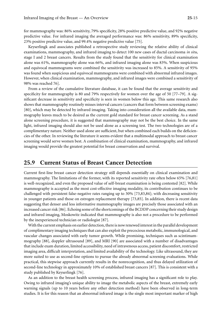for mammography was: 86% sensitivity, 79% specificity, 28% positive predictive value, and 92% negative predictive value. For infrared imaging the averaged performance was: 86% sensitivity, 89% specificity, 23% positive predictive value, and 99.4% negative predictive value [75].

Keyserlingk and associates published a retrospective study reviewing the relative ability of clinical examinations, mammography, and infrared imaging to detect 100 new cases of ductal carcinoma *in situ*, stage I and 2 breast cancers. Results from the study found that the sensitivity for clinical examination alone was 61%, mammography alone was 66%, and infrared imaging alone was 83%. When suspicious and equivocal mammograms were combined the sensitivity was increased to 85%. A sensitivity of 95% was found when suspicious and equivocal mammograms were combined with abnormal infrared images. However, when clinical examination, mammography, and infrared images were combined a sensitivity of 98% was reached 76].

From a review of the cumulative literature database, it can be found that the average sensitivity and specificity for mammography is 80 and 79% respectively for women over the age of 50 [77–79]. A significant decrease in sensitivity and specificity is seen in women below this age. This same research also shows that mammography routinely misses interval cancers (cancers that form between screening exams) [80], which may be detected by infrared imaging. Taking into consideration all the available data, mammography leaves much to be desired as the current gold standard for breast cancer screening. As a stand alone screening procedure, it is suggested that mammography may not be the best choice. In the same light, infrared imaging should also not be used alone as a screening test. The two technologies are of a complimentary nature. Neither used alone are sufficient, but when combined each builds on the deficiencies of the other. In reviewing the literature it seems evident that a multimodal approach to breast cancer screening would serve women best. A combination of clinical examination, mammography, and infrared imaging would provide the greatest potential for breast conservation and survival.

### **25.9 Current Status of Breast Cancer Detection**

Current first-line breast cancer detection strategy still depends essentially on clinical examination and mammography. The limitations of the former, with its reported sensitivity rate often below 65% [76,81] is well-recognized, and even the proposed value of self-breast examination is being contested [82]. While mammography is accepted as the most cost-effective imaging modality, its contribution continues to be challenged with persistent false-negative rates ranging up to 30% [73,83,84]; with decreasing sensitivity in younger patients and those on estrogen replacement therapy [73,85]. In addition, there is recent data suggesting that denser and less informative mammography images are precisely those associated with an increased cancer risk [86]. Echoing some of the shortcomings of the BCDDP concerning their study design and infrared imaging, Moskowitz indicated that mammography is also not a procedure to be performed by the inexperienced technician or radiologist [87].

With the current emphasis on earlier detection, there is now renewed interest in the parallel development of complimentary imaging techniques that can also exploit the precocious metabolic, immunological, and vascular changes associated with early tumor growth. While promising, techniques such as scintimammography [88], doppler ultrasound [89], and MRI [90] are associated with a number of disadvantages that include exam duration, limited accessibility, need of intravenous access, patient discomfort, restricted imaging area, difficult interpretation, and limited availability of the technology. Like ultrasound, they are more suited to use as second-line options to pursue the already abnormal screening evaluations. While practical, this stepwise approach currently results in the nonrecognition, and thus delayed utilization of second-line technology in approximately 10% of established breast cancers [87]. This is consistent with a study published by Keyserlingk [76].

As an addition to the breast health screening process, infrared imaging has a significant role to play. Owing to infrared imaging's unique ability to image the metabolic aspects of the breast, extremely early warning signals (up to 10 years before any other detection method) have been observed in long-term studies. It is for this reason that an abnormal infrared image is the single most important marker of high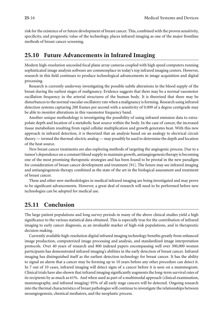risk for the existence of or future development of breast cancer. This, combined with the proven sensitivity, specificity, and prognostic value of the technology, places infrared imaging as one of the major frontline methods of breast cancer screening.

# **25.10 Future Advancements in Infrared Imaging**

Modern high-resolution uncooled focal plane array cameras coupled with high speed computers running sophisticated image analysis software are commonplace in today's top infrared imaging centers. However, research in this field continues to produce technological advancements in image acquisition and digital processing.

Research is currently underway investigating the possible subtle alterations in the blood supply of the breast during the earliest stages of malignancy. Evidence suggests that there may be a normal vasomotor oscillation frequency in the arterial structures of the human body. It is theorized that there may be disturbances to the normal vascular oscillatory rate when a malignancy is forming. Research using infrared detection systems capturing 200 frames per second with a sensitivity of 0.009 of a degree centigrade may be able to monitor alterations in this vasomotor frequency band.

Another unique methodology is investigating the possibility of using infrared emission data to extrapolate depth and location of a metabolic heat source within the body. In the case of cancer, the increased tissue metabolism resulting from rapid cellular multiplication and growth generates heat. With this new approach in infrared detection, it is theorized that an analysis based on an analogy to electrical circuit theory — termed the thermal-electric analog — may possibly be used to determine the depth and location of the heat source.

New breast cancer treatments are also exploring methods of targeting the angiogenic process. Due to a tumor's dependence on a constant blood supply to maintain growth, antiangiogenesis therapy is becoming one of the most promising therapeutic strategies and has been found to be pivotal in the new paradigm for consideration of breast cancer development and treatment [91]. The future may see infrared imaging and antiangiogenesis therapy combined as the state of the art in the biological assessment and treatment of breast cancer.

These and other new methodologies in medical infrared imaging are being investigated and may prove to be significant advancements. However, a great deal of research will need to be performed before new technologies can be adopted for medical use.

# **25.11 Conclusion**

The large patient populations and long survey periods in many of the above clinical studies yield a high significance to the various statistical data obtained. This is especially true for the contribution of infrared imaging to early cancer diagnosis, as an invaluable marker of high-risk populations, and in therapeutic decision making.

Currently available high-resolution digital infrared imaging technology benefits greatly from enhanced image production, computerized image processing and analysis, and standardized image interpretation protocols. Over 40 years of research and 800 indexed papers encompassing well over 300,000 women participants has demonstrated infrared imaging's abilities in the early detection of breast cancer. Infrared imaging has distinguished itself as the earliest detection technology for breast cancer. It has the ability to signal an alarm that a cancer may be forming up to 10 years before any other procedure can detect it. In 7 out of 10 cases, infrared imaging will detect signs of a cancer before it is seen on a mammogram. Clinical trials have also shown that infrared imaging significantly augments the long-term survival rates of its recipients by as much as 61%. And when used as part of a multimodal approach (clinical examination, mammography, and infrared imaging) 95% of all early stage cancers will be detected. Ongoing research into the thermal characteristics of breast pathologies will continue to investigate the relationships between neoangiogenesis, chemical mediators, and the neoplastic process.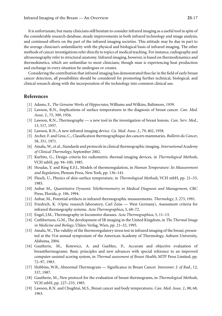It is unfortunate, but many clinicians still hesitate to consider infrared imaging as a useful tool in spite of the considerable research database, steady improvements in both infrared technology and image analysis, and continued efforts on the part of the infrared imaging societies. This attitude may be due in part to the average clinician's unfamiliarity with the physical and biological basis of infrared imaging. The other methods of cancer investigations refer directly to topics of medical teaching. For instance, radiography and ultrasonography refer to structural anatomy. Infrared imaging, however, is based on thermodynamics and thermokinetics, which are unfamiliar to most clinicians; though man is experiencing heat production and exchange in every situation he undergoes or creates.

Considering the contribution that infrared imaging has demonstrated thus far in the field of early breast cancer detection, all possibilities should be considered for promoting further technical, biological, and clinical research along with the incorporation of the technology into common clinical use.

#### **References**

- [1] Adams, F., *The Genuine Works of Hippocrates*, Williams and Wilkins, Baltimore, 1939.
- [2] Lawson, R.N., Implications of surface temperatures in the diagnosis of breast cancer. *Can. Med. Assoc. J.*, 75, 309, 1956.
- [3] Lawson, R.N., Thermography a new tool in the investigation of breast lesions. *Can. Serv. Med.*, 13, 517, 1957.
- [4] Lawson, R.N., A new infrared imaging device. *Ca. Med. Assoc. J.*, 79, 402, 1958.
- [5] Archer, F. and Gros, C., Classification thermographique des cancers mammaries. *Bulletin du Cancer*, 58, 351, 1971.
- [6] Amalu,W., et al., Standards and protocols in clinical thermographic imaging. *International Academy of Clinical Thermology*, September 2002.
- [7] Kurbitz, G., Design criteria for radiometric thermal-imaging devices, in *Thermological Methods*, VCH mbH, pp. 94–100, 1985.
- [8] Houdas, Y. and Ring E.F.J., Models of thermoregulation, in *Human Temperature: Its Measurement and Regulation*, Plenum Press, New York, pp. 136–141.
- [9] Flesch, U., Physics of skin-surface temperature, in *Thermological Methods*, VCH mbH, pp. 21–33, 1985.
- [10] Anbar M., *Quantitative Dynamic Telethermometry in Medical Diagnosis and Management*, CRC Press, Florida, p. 106, 1994.
- [11] Anbar, M., Potential artifacts in infrared thermographic measurements. *Thermology*, 3, 273, 1991.
- [12] Friedrich, K. (Optic research laboratory, Carl Zeiss West Germany), Assessment criteria for infrared thermography systems. *Acta Thermographica*, 5, 68–72.
- [13] Engel, J.M., Thermography in locomotor diseases. *Acta Thermographica*, 5, 11–13.
- [14] Cuthbertson, G.M., The development of IR imaging in the United Kingdom, in *The Thermal Image in Medicine and Biology*, Uhlen-Verlag, Wien, pp. 21–32, 1995.
- [15] Amalu,W., The validity of the thermoregulatory stress test in infrared imaging of the breast, presented at the 31st annual symposium of the American Academy of Thermology, Auburn University, Alabama, 2004.
- [16] Gautherie, M., Kotewicz, A. and Gueblez, P., Accurate and objective evaluation of breastthermograms: Basic principles and new advances with special reference to an improved computer-assisted scoring system, in *Thermal assessment of Breast Health*, MTP Press Limited, pp. 72–97, 1983.
- [17] Hobbins, W.B., Abnormal Thermogram Significance in Breast Cancer. *Interamer. J. of Rad.*, 12, 337, 1987.
- [18] Gautherie, M., New protocol for the evaluation of breast thermograms, in *Thermological Methods*, VCH mbH, pp. 227–235, 1985.
- [19] Lawson, R.N. and Chughtai, M.S., Breast cancer and body temperatures. *Can. Med. Assoc. J.*, 88, 68, 1963.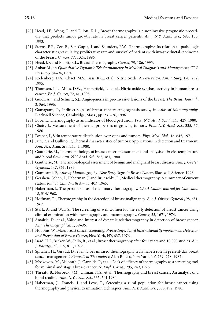- [20] Head, J.F., Wang, F. and Elliott, R.L., Breast thermography is a noninvasive prognostic procedure that predicts tumor growth rate in breast cancer patients. *Ann. N.Y. Acad. Sci.*, 698, 153, 1993.
- [21] Sterns, E.E., Zee, B., Sen Gupta, J. and Saunders, F.W., Thermography: Its relation to pathologic characteristics, vascularity, proliferative rate and survival of patients with invasive ductal carcinoma of the breast. *Cancer*, 77, 1324, 1996.
- [22] Head, J.F. and Elliott, R.L., Breast Thermography. *Cancer*, 79, 186, 1995.
- [23] Anbar M., in *Quantitative Dynamic Telethermometry in Medical Diagnosis and Management*, CRC Press, pp. 84–94, 1994.
- [24] Rodenberg, D.A., Chaet, M.S., Bass, R.C., et al., Nitric oxide: An overview. *Am. J. Surg.* 170, 292, 1995.
- [25] Thomsen, L.L., Miles, D.W., Happerfield, L., et al., Nitric oxide synthase activity in human breast cancer. *Br. J. Cancer*, 72, 41, 1995.
- [26] Guidi, A.J. and Schnitt, S.J., Angiogenesis in pre-invasive lesions of the breast. *The Breast Journal* , 2, 364, 1996.
- [27] Gamagami, P., Indirect signs of breast cancer: Angiogenesis study, in *Atlas of Mammography*, Blackwell Science, Cambridge, Mass., pp. 231–26, 1996.
- [28] Love, T., Thermography as an indicator of blood perfusion. *Proc. N.Y. Acad. Sci. J.*, 335, 429, 1980.
- [29] Chato, J., Measurement of thermal properties of growing tumors. *Proc. N.Y. Acad. Sci.*, 335, 67, 1980.
- [30] Draper, J., Skin temperature distribution over veins and tumors. *Phys. Med. Biol.*, 16, 645, 1971.
- [31] Jain, R. and Gullino, P., Thermal characteristics of tumors: Applications in detection and treatment. *Ann. N.Y. Acad. Sci.*, 335, 1, 1980.
- [32] Gautherie, M., Thermopathology of breast cancer; measurement and analysis of *in vivo* temperature and blood flow. *Ann. N.Y. Acad. Sci.*, 365, 383, 1980.
- [33] Gautherie, M., Thermobiological assessment of benign and malignant breast diseases. *Am. J. Obstet. Gynecol.*, 147, 861, 1983.
- [34] Gamigami, P., *Atlas of Mammography: New Early Signs in Breast Cancer*, Blackwell Science, 1996.
- [35] Gershen-Cohen, J., Haberman, J. and Brueschke, E., Medical thermography: A summary of current status. *Radiol. Clin. North Am.*, 3, 403, 1965.
- [36] Haberman, J., The present status of mammary thermography. *CA: A Cancer Journal for Clinicians*, 18, 314,1968.
- [37] Hoffman, R., Thermography in the detection of breast malignancy. *Am. J. Obstet. Gynecol.*, 98, 681, 1967.
- [38] Stark, A. and Way, S., The screening of well women for the early detection of breast cancer using clinical examination with thermography and mammography. *Cancer*, 33, 1671, 1974.
- [39] Amalric, D., et al., Value and interest of dynamic telethermography in detection of breast cancer. *Acta Thermographica*, 1, 89–96.
- [40] Hobbins,W., Mass breast cancer screening. *Proceedings, Third International Symposium on Detection and Prevention of Breast Cancer*, New York, NY, 637, 1976.
- [41] Isard, H.J., Becker, W., Shilo, R., et al., Breast thermography after four years and 10,000 studies. *Am. J. Roentgenol.*, 115, 811, 1972.
- [42] Spitalier, H., Giraud, D., et al., Does infrared thermography truly have a role in present-day breast cancer management? *Biomedical Thermology*, Alan R. Liss, New York, NY, 269–278, 1982.
- [43] Moskowitz, M., Milbrath, J., Gartside, P., et al., Lack of efficacy of thermography as a screening tool for minimal and stage I breast cancer. *N. Engl. J. Med.*, 295, 249, 1976.
- [44] Threatt, B., Norbeck, J.M., Ullman, N.S., et al., Thermography and breast cancer: An analysis of a blind reading. *Ann. N.Y. Acad. Sci.*, 335, 501,1980.
- [45] Haberman, J., Francis, J. and Love, T., Screening a rural population for breast cancer using thermography and physical examination techniques. *Ann. N.Y. Acad. Sci.* , 335, 492, 1980.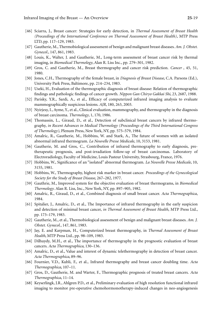- [46] Sciarra, J., Breast cancer: Strategies for early detection, in *Thermal Assessment of Breast Health (Proceedings of the International Conference on Thermal Assessment of Breast Health)*, MTP Press LTD, pp. 117–129, 1983.
- [47] Gautherie, M., Thermobiological assessment of benign and malignant breast diseases. *Am. J. Obstet. Gynecol.*, 147, 861, 1983.
- [48] Louis, K., Walter, J. and Gautherie, M., Long-term assessment of breast cancer risk by thermal imaging, in *Biomedical Thermology*, Alan R. Liss Inc., pp. 279–301, 1982.
- [49] Gros, C. and Gautherie, M., Breast thermography and cancer risk prediction. *Cancer* , 45, 51, 1980.
- [50] Jones, C.H., Thermography of the female breast, in *Diagnosis of Breast Disease*, C.A. Parsons (Ed.), University Park Press, Baltimore, pp. 214–234, 1983.
- [51] Useki, H., Evaluation of the thermographic diagnosis of breast disease: Relation of thermographic findings and pathologic findings of cancer growth. *Nippon Gan Chiryo Gakkai Shi*, 23, 2687, 1988.
- [52] Parisky, Y.R., Sardi, A., et al., Efficacy of computerized infrared imaging analysis to evaluate mammographically suspicious lesions. *AJR*, 180, 263, 2003.
- [53] Nyirjesy, I., Ayme, Y., et al., Clinical evaluation, mammography, and thermography in the diagnosis of breast carcinoma. *Thermology*, 1, 170, 1986.
- [54] Thomassin, L., Giraud, D., et al., Detection of subclinical breast cancers by infrared thermography, *in Recent Advances in Medical Thermology (Proceedings of the Third International Congress of Thermology)*, Plenum Press, New York, NY, pp. 575–579, 1984.
- [55] Amalric, R., Gautherie, M., Hobbins, W. and Stark, A., The future of women with an isolated abnormal infrared thermogram. *La Nouvelle Presse Medicale*, 10, 3153, 1981.
- [56] Gautherie, M. and Gros, C., Contribution of infrared thermography to early diagnosis, pretherapeutic prognosis, and post-irradiation follow-up of breast carcinomas. Laboratory of Electroradiology, Faculty of Medicine, Louis Pasteur University, Strasbourg, France, 1976.
- [57] Hobbins, W., Significance of an "isolated" abnormal thermogram. *La Nouvelle Presse Medicale*, 10, 3155, 1981.
- [58] Hobbins, W., Thermography, highest risk marker in breast cancer. *Proceedings of the Gynecological Society for the Study of Breast Disease*, 267–282, 1977.
- [59] Gauthrie, M., Improved system for the objective evaluation of breast thermograms, in *Biomedical Thermology*. Alan R. Liss, Inc., New York, NY, pp. 897–905, 1982.
- [60] Amalric, R., Giraud, D., et al., Combined diagnosis of small breast cancer. *Acta Thermographica*, 1984.
- [61] Spitalier, J., Amalric, D., et al., The Importance of infrared thermography in the early suspicion and detection of minimal breast cancer, *in Thermal Assessment of Breast Health*, MTP Press Ltd., pp. 173–179, 1983.
- [62] Gautherie, M., et al., Thermobiological assessment of benign and malignant breast diseases. *Am. J. Obstet. Gynecol.*, 147, 861, 1983.
- [63] Jay, E. and Karpman, H., Computerized breast thermography, in *Thermal Assessment of Breast Health*, MTP Press Ltd., pp. 98–109, 1983.
- [64] Dilhuydy, M.H., et al., The importance of thermography in the prognostic evaluation of breast cancers. *Acta Thermographica*, 130–136.
- [65] Amalric, D., et al., Value and interest of dynamic telethermography in detection of breast cancer. *Acta Thermographica*, 89–96.
- [66] Fournier, V.D., Kubli, F., et al., Infrared thermography and breast cancer doubling time. *Acta Thermographica*, 107–11.
- [67] Gros, D., Gautherie, M. and Warter, F., Thermographic prognosis of treated breast cancers. *Acta Thermographica*, 11–14.
- [68] Keyserlingk, J.R., Ahlgren P.D., et al., Preliminary evaluation of high resolution functional infrared imaging to monitor pre-operative chemohormonotherapy-induced changes in neo-angiogenesis